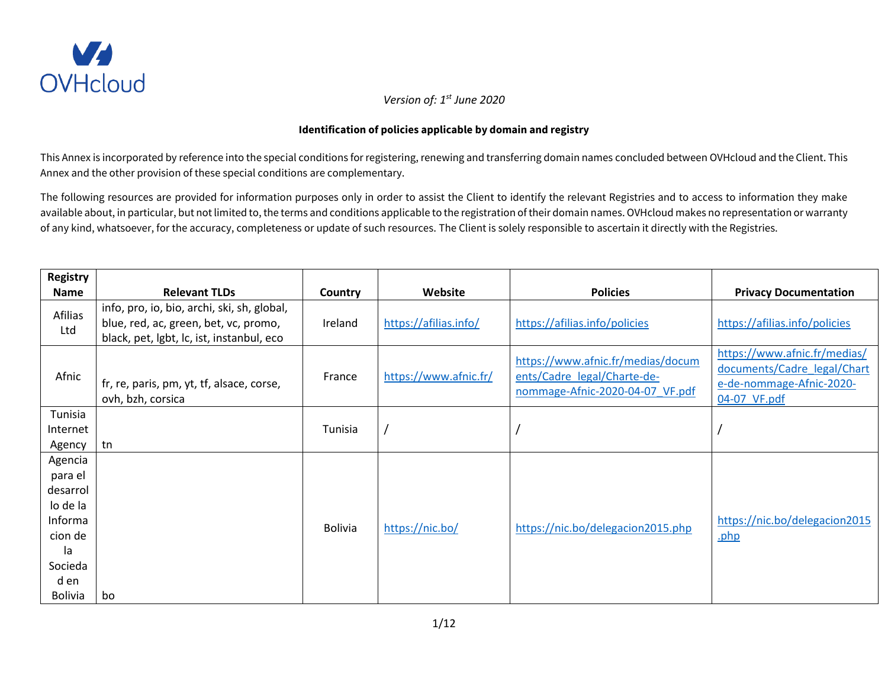

## **Identification of policies applicable by domain and registry**

This Annex is incorporated by reference into the special conditions for registering, renewing and transferring domain names concluded between OVHcloud and the Client. This Annex and the other provision of these special conditions are complementary.

The following resources are provided for information purposes only in order to assist the Client to identify the relevant Registries and to access to information they make available about, in particular, but not limited to, the terms and conditions applicable to the registration of their domain names. OVHcloud makes no representation or warranty of any kind, whatsoever, for the accuracy, completeness or update of such resources. The Client is solely responsible to ascertain it directly with the Registries.

| <b>Registry</b>                                                                                             |                                                                                                                                   |                |                       |                                                                                                     |                                                                                                         |
|-------------------------------------------------------------------------------------------------------------|-----------------------------------------------------------------------------------------------------------------------------------|----------------|-----------------------|-----------------------------------------------------------------------------------------------------|---------------------------------------------------------------------------------------------------------|
| <b>Name</b>                                                                                                 | <b>Relevant TLDs</b>                                                                                                              | Country        | Website               | <b>Policies</b>                                                                                     | <b>Privacy Documentation</b>                                                                            |
| Afilias<br>Ltd                                                                                              | info, pro, io, bio, archi, ski, sh, global,<br>blue, red, ac, green, bet, vc, promo,<br>black, pet, lgbt, lc, ist, instanbul, eco | Ireland        | https://afilias.info/ | https://afilias.info/policies                                                                       | https://afilias.info/policies                                                                           |
| Afnic                                                                                                       | fr, re, paris, pm, yt, tf, alsace, corse,<br>ovh, bzh, corsica                                                                    | France         | https://www.afnic.fr/ | https://www.afnic.fr/medias/docum<br>ents/Cadre legal/Charte-de-<br>nommage-Afnic-2020-04-07 VF.pdf | https://www.afnic.fr/medias/<br>documents/Cadre legal/Chart<br>e-de-nommage-Afnic-2020-<br>04-07 VF.pdf |
| Tunisia<br>Internet<br>Agency                                                                               | tn                                                                                                                                | Tunisia        |                       |                                                                                                     |                                                                                                         |
| Agencia<br>para el<br>desarrol<br>lo de la<br>Informa<br>cion de<br>la<br>Socieda<br>d en<br><b>Bolivia</b> | bo                                                                                                                                | <b>Bolivia</b> | https://nic.bo/       | https://nic.bo/delegacion2015.php                                                                   | https://nic.bo/delegacion2015<br>.php                                                                   |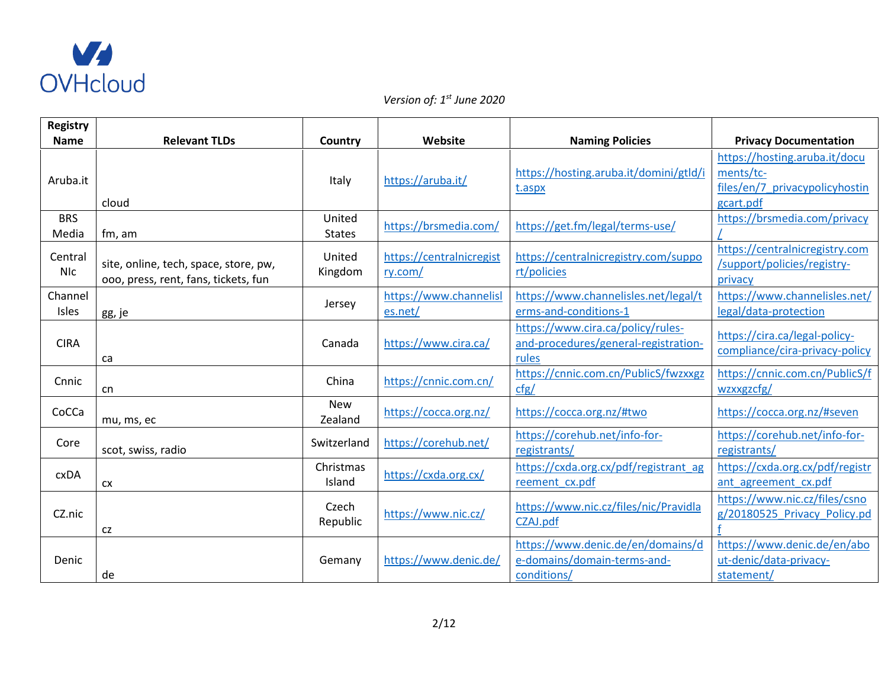

| <b>Registry</b>       |                                                                               |                         |                                     |                                                                                    |                                                                                           |
|-----------------------|-------------------------------------------------------------------------------|-------------------------|-------------------------------------|------------------------------------------------------------------------------------|-------------------------------------------------------------------------------------------|
| <b>Name</b>           | <b>Relevant TLDs</b>                                                          | Country                 | Website                             | <b>Naming Policies</b>                                                             | <b>Privacy Documentation</b>                                                              |
| Aruba.it              | cloud                                                                         | Italy                   | https://aruba.it/                   | https://hosting.aruba.it/domini/gtld/i<br>t.aspx                                   | https://hosting.aruba.it/docu<br>ments/tc-<br>files/en/7 privacypolicyhostin<br>gcart.pdf |
| <b>BRS</b><br>Media   | fm, am                                                                        | United<br><b>States</b> | https://brsmedia.com/               | https://get.fm/legal/terms-use/                                                    | https://brsmedia.com/privacy                                                              |
| Central<br><b>NIC</b> | site, online, tech, space, store, pw,<br>000, press, rent, fans, tickets, fun | United<br>Kingdom       | https://centralnicregist<br>ry.com/ | https://centralnicregistry.com/suppo<br>rt/policies                                | https://centralnicregistry.com<br>/support/policies/registry-<br>privacy                  |
| Channel<br>Isles      | gg, je                                                                        | Jersey                  | https://www.channelisl<br>es.net/   | https://www.channelisles.net/legal/t<br>erms-and-conditions-1                      | https://www.channelisles.net/<br>legal/data-protection                                    |
| <b>CIRA</b>           | ca                                                                            | Canada                  | https://www.cira.ca/                | https://www.cira.ca/policy/rules-<br>and-procedures/general-registration-<br>rules | https://cira.ca/legal-policy-<br>compliance/cira-privacy-policy                           |
| Cnnic                 | cn                                                                            | China                   | https://cnnic.com.cn/               | https://cnnic.com.cn/PublicS/fwzxxgz<br>cfg/                                       | https://cnnic.com.cn/PublicS/f<br>wzxxgzcfg/                                              |
| CoCCa                 | mu, ms, ec                                                                    | <b>New</b><br>Zealand   | https://cocca.org.nz/               | https://cocca.org.nz/#two                                                          | https://cocca.org.nz/#seven                                                               |
| Core                  | scot, swiss, radio                                                            | Switzerland             | https://corehub.net/                | https://corehub.net/info-for-<br>registrants/                                      | https://corehub.net/info-for-<br>registrants/                                             |
| <b>CXDA</b>           | <b>CX</b>                                                                     | Christmas<br>Island     | https://cxda.org.cx/                | https://cxda.org.cx/pdf/registrant_ag<br>reement cx.pdf                            | https://cxda.org.cx/pdf/registr<br>ant agreement cx.pdf                                   |
| CZ.nic                | CZ                                                                            | Czech<br>Republic       | https://www.nic.cz/                 | https://www.nic.cz/files/nic/Pravidla<br>CZAJ.pdf                                  | https://www.nic.cz/files/csno<br>g/20180525 Privacy Policy.pd                             |
| Denic                 | de                                                                            | Gemany                  | https://www.denic.de/               | https://www.denic.de/en/domains/d<br>e-domains/domain-terms-and-<br>conditions/    | https://www.denic.de/en/abo<br>ut-denic/data-privacy-<br>statement/                       |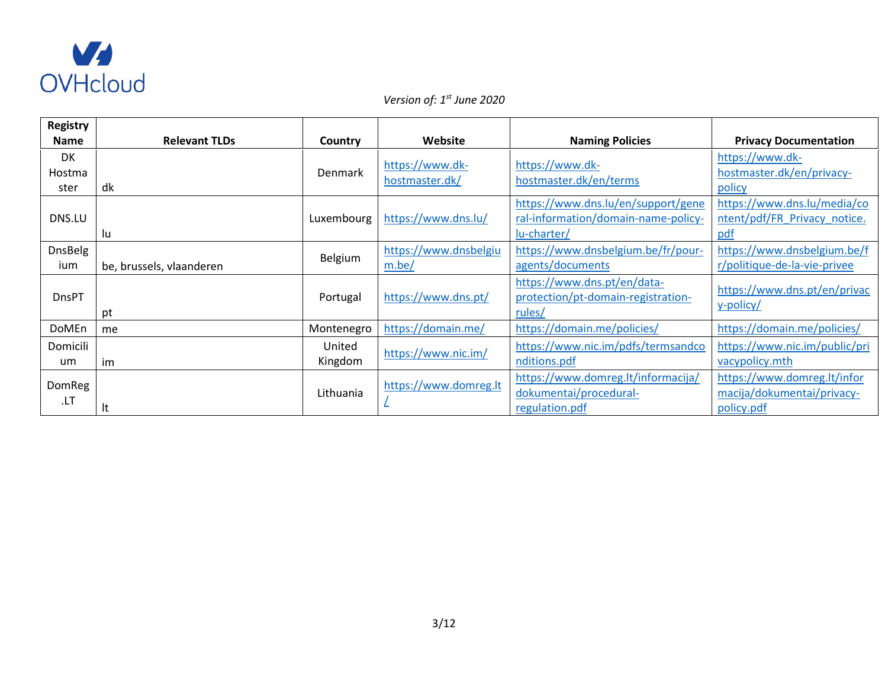

| <b>Registry</b>      |                          |                   |                                   |                                                                                          |                                                                         |
|----------------------|--------------------------|-------------------|-----------------------------------|------------------------------------------------------------------------------------------|-------------------------------------------------------------------------|
| <b>Name</b>          | <b>Relevant TLDs</b>     | Country           | Website                           | <b>Naming Policies</b>                                                                   | <b>Privacy Documentation</b>                                            |
| DK<br>Hostma<br>ster | dk                       | Denmark           | https://www.dk-<br>hostmaster.dk/ | https://www.dk-<br>hostmaster.dk/en/terms                                                | https://www.dk-<br>hostmaster.dk/en/privacy-<br>policy                  |
| DNS.LU               | lu                       | Luxembourg        | https://www.dns.lu/               | https://www.dns.lu/en/support/gene<br>ral-information/domain-name-policy-<br>lu-charter/ | https://www.dns.lu/media/co<br>ntent/pdf/FR Privacy notice.<br>pdf      |
| DnsBelg<br>ium       | be, brussels, vlaanderen | Belgium           | https://www.dnsbelgiu<br>m.be/    | https://www.dnsbelgium.be/fr/pour-<br>agents/documents                                   | https://www.dnsbelgium.be/f<br>r/politique-de-la-vie-privee             |
| <b>DnsPT</b>         | pt                       | Portugal          | https://www.dns.pt/               | https://www.dns.pt/en/data-<br>protection/pt-domain-registration-<br>rules/              | https://www.dns.pt/en/privac<br>y-policy/                               |
| DoMEn                | me                       | Montenegro        | https://domain.me/                | https://domain.me/policies/                                                              | https://domain.me/policies/                                             |
| Domicili<br>um       | im                       | United<br>Kingdom | https://www.nic.im/               | https://www.nic.im/pdfs/termsandco<br>nditions.pdf                                       | https://www.nic.im/public/pri<br>vacypolicy.mth                         |
| <b>DomReg</b><br>LT. | It                       | Lithuania         | https://www.domreg.lt             | https://www.domreg.lt/informacija/<br>dokumentai/procedural-<br>regulation.pdf           | https://www.domreg.lt/infor<br>macija/dokumentai/privacy-<br>policy.pdf |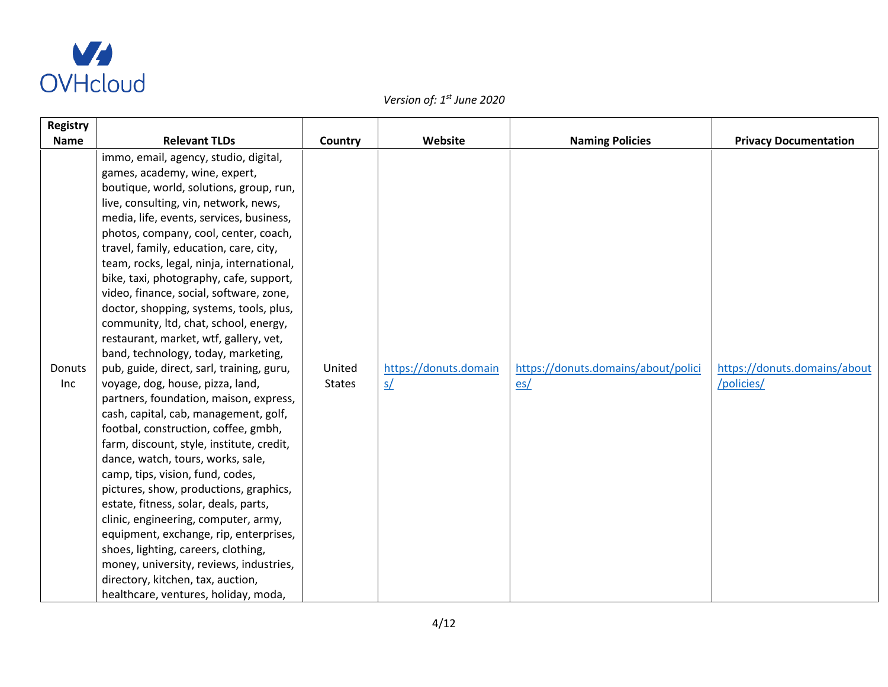

| <b>Registry</b> |                                                                                                                                                                                                                                                                                                                                                                                                                                                                                                                                                                                                                                                                                                                                                                                                                                                                                                                                                                                                                                                                                                                                                                                                                                                                         |                         |                                                  |                                            |                                            |
|-----------------|-------------------------------------------------------------------------------------------------------------------------------------------------------------------------------------------------------------------------------------------------------------------------------------------------------------------------------------------------------------------------------------------------------------------------------------------------------------------------------------------------------------------------------------------------------------------------------------------------------------------------------------------------------------------------------------------------------------------------------------------------------------------------------------------------------------------------------------------------------------------------------------------------------------------------------------------------------------------------------------------------------------------------------------------------------------------------------------------------------------------------------------------------------------------------------------------------------------------------------------------------------------------------|-------------------------|--------------------------------------------------|--------------------------------------------|--------------------------------------------|
| <b>Name</b>     | <b>Relevant TLDs</b>                                                                                                                                                                                                                                                                                                                                                                                                                                                                                                                                                                                                                                                                                                                                                                                                                                                                                                                                                                                                                                                                                                                                                                                                                                                    | Country                 | Website                                          | <b>Naming Policies</b>                     | <b>Privacy Documentation</b>               |
| Donuts<br>Inc   | immo, email, agency, studio, digital,<br>games, academy, wine, expert,<br>boutique, world, solutions, group, run,<br>live, consulting, vin, network, news,<br>media, life, events, services, business,<br>photos, company, cool, center, coach,<br>travel, family, education, care, city,<br>team, rocks, legal, ninja, international,<br>bike, taxi, photography, cafe, support,<br>video, finance, social, software, zone,<br>doctor, shopping, systems, tools, plus,<br>community, ltd, chat, school, energy,<br>restaurant, market, wtf, gallery, vet,<br>band, technology, today, marketing,<br>pub, guide, direct, sarl, training, guru,<br>voyage, dog, house, pizza, land,<br>partners, foundation, maison, express,<br>cash, capital, cab, management, golf,<br>footbal, construction, coffee, gmbh,<br>farm, discount, style, institute, credit,<br>dance, watch, tours, works, sale,<br>camp, tips, vision, fund, codes,<br>pictures, show, productions, graphics,<br>estate, fitness, solar, deals, parts,<br>clinic, engineering, computer, army,<br>equipment, exchange, rip, enterprises,<br>shoes, lighting, careers, clothing,<br>money, university, reviews, industries,<br>directory, kitchen, tax, auction,<br>healthcare, ventures, holiday, moda, | United<br><b>States</b> | https://donuts.domain<br>$\mathsf{S}/\mathsf{S}$ | https://donuts.domains/about/polici<br>es/ | https://donuts.domains/about<br>/policies/ |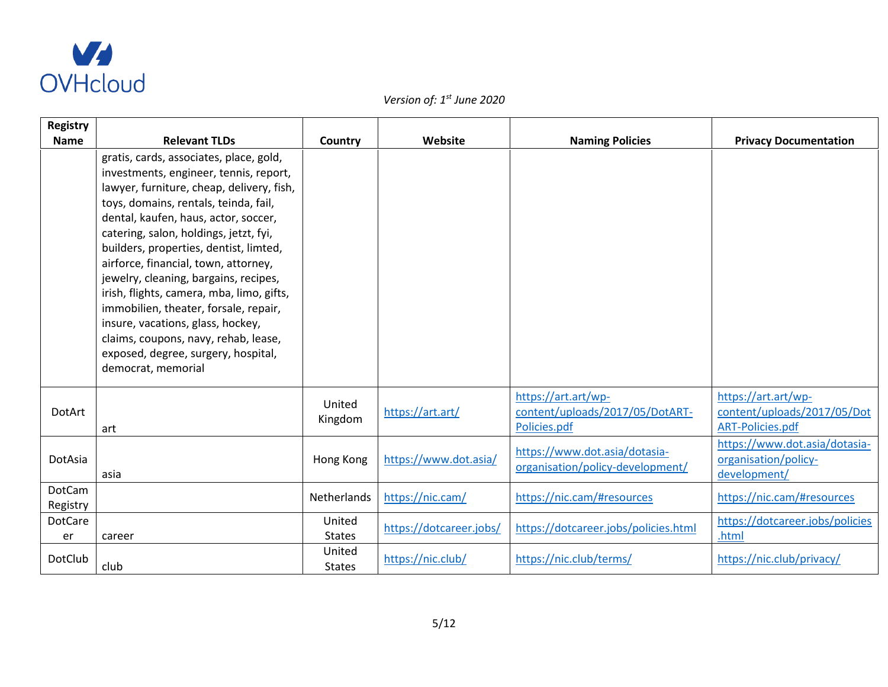

| Registry           |                                                                                                                                                                                                                                                                                                                                                                                                                                                                                                                                                                                                                      |                         |                         |                                                                        |                                                                               |
|--------------------|----------------------------------------------------------------------------------------------------------------------------------------------------------------------------------------------------------------------------------------------------------------------------------------------------------------------------------------------------------------------------------------------------------------------------------------------------------------------------------------------------------------------------------------------------------------------------------------------------------------------|-------------------------|-------------------------|------------------------------------------------------------------------|-------------------------------------------------------------------------------|
| <b>Name</b>        | <b>Relevant TLDs</b>                                                                                                                                                                                                                                                                                                                                                                                                                                                                                                                                                                                                 | Country                 | Website                 | <b>Naming Policies</b>                                                 | <b>Privacy Documentation</b>                                                  |
|                    | gratis, cards, associates, place, gold,<br>investments, engineer, tennis, report,<br>lawyer, furniture, cheap, delivery, fish,<br>toys, domains, rentals, teinda, fail,<br>dental, kaufen, haus, actor, soccer,<br>catering, salon, holdings, jetzt, fyi,<br>builders, properties, dentist, limted,<br>airforce, financial, town, attorney,<br>jewelry, cleaning, bargains, recipes,<br>irish, flights, camera, mba, limo, gifts,<br>immobilien, theater, forsale, repair,<br>insure, vacations, glass, hockey,<br>claims, coupons, navy, rehab, lease,<br>exposed, degree, surgery, hospital,<br>democrat, memorial |                         |                         |                                                                        |                                                                               |
| <b>DotArt</b>      | art                                                                                                                                                                                                                                                                                                                                                                                                                                                                                                                                                                                                                  | United<br>Kingdom       | https://art.art/        | https://art.art/wp-<br>content/uploads/2017/05/DotART-<br>Policies.pdf | https://art.art/wp-<br>content/uploads/2017/05/Dot<br><b>ART-Policies.pdf</b> |
| DotAsia            | asia                                                                                                                                                                                                                                                                                                                                                                                                                                                                                                                                                                                                                 | Hong Kong               | https://www.dot.asia/   | https://www.dot.asia/dotasia-<br>organisation/policy-development/      | https://www.dot.asia/dotasia-<br>organisation/policy-<br>development/         |
| DotCam<br>Registry |                                                                                                                                                                                                                                                                                                                                                                                                                                                                                                                                                                                                                      | Netherlands             | https://nic.cam/        | https://nic.cam/#resources                                             | https://nic.cam/#resources                                                    |
| DotCare<br>er      | career                                                                                                                                                                                                                                                                                                                                                                                                                                                                                                                                                                                                               | United<br><b>States</b> | https://dotcareer.jobs/ | https://dotcareer.jobs/policies.html                                   | https://dotcareer.jobs/policies<br>.html                                      |
| <b>DotClub</b>     | club                                                                                                                                                                                                                                                                                                                                                                                                                                                                                                                                                                                                                 | United<br><b>States</b> | https://nic.club/       | https://nic.club/terms/                                                | https://nic.club/privacy/                                                     |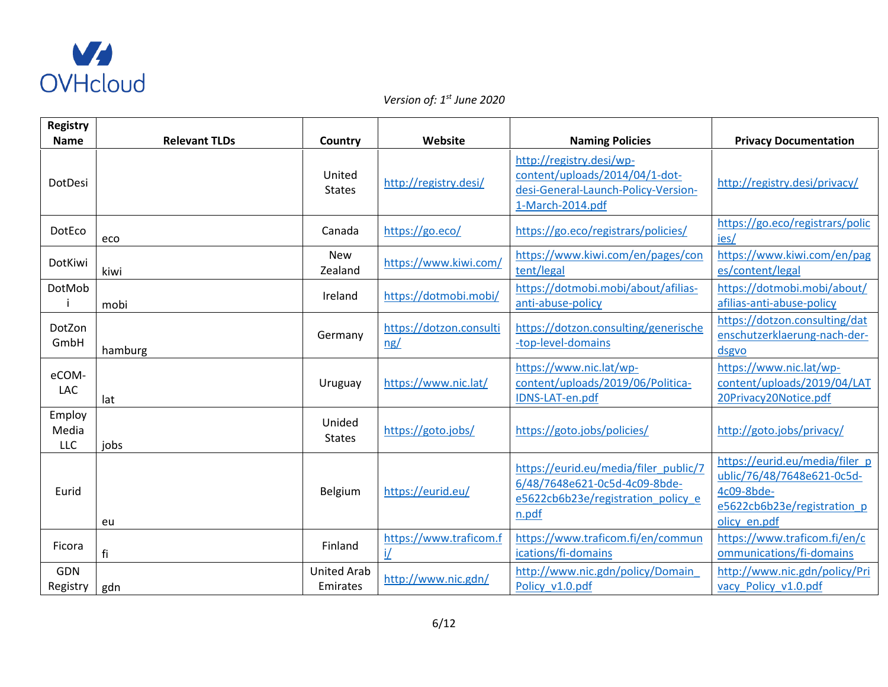

| <b>Registry</b><br><b>Name</b> | <b>Relevant TLDs</b> |                                | Website                        |                                                                                                                       |                                                                                                                           |
|--------------------------------|----------------------|--------------------------------|--------------------------------|-----------------------------------------------------------------------------------------------------------------------|---------------------------------------------------------------------------------------------------------------------------|
|                                |                      | Country                        |                                | <b>Naming Policies</b>                                                                                                | <b>Privacy Documentation</b>                                                                                              |
| DotDesi                        |                      | United<br><b>States</b>        | http://registry.desi/          | http://registry.desi/wp-<br>content/uploads/2014/04/1-dot-<br>desi-General-Launch-Policy-Version-<br>1-March-2014.pdf | http://registry.desi/privacy/                                                                                             |
| DotEco                         | eco                  | Canada                         | https://go.eco/                | https://go.eco/registrars/policies/                                                                                   | https://go.eco/registrars/polic<br>ies/                                                                                   |
| DotKiwi                        | kiwi                 | <b>New</b><br>Zealand          | https://www.kiwi.com/          | https://www.kiwi.com/en/pages/con<br>tent/legal                                                                       | https://www.kiwi.com/en/pag<br>es/content/legal                                                                           |
| DotMob                         | mobi                 | Ireland                        | https://dotmobi.mobi/          | https://dotmobi.mobi/about/afilias-<br>anti-abuse-policy                                                              | https://dotmobi.mobi/about/<br>afilias-anti-abuse-policy                                                                  |
| DotZon<br>GmbH                 | hamburg              | Germany                        | https://dotzon.consulti<br>ng/ | https://dotzon.consulting/generische<br>-top-level-domains                                                            | https://dotzon.consulting/dat<br>enschutzerklaerung-nach-der-<br>dsgvo                                                    |
| eCOM-<br>LAC                   | lat                  | Uruguay                        | https://www.nic.lat/           | https://www.nic.lat/wp-<br>content/uploads/2019/06/Politica-<br>IDNS-LAT-en.pdf                                       | https://www.nic.lat/wp-<br>content/uploads/2019/04/LAT<br>20Privacy20Notice.pdf                                           |
| Employ<br>Media<br>LLC         | jobs                 | Unided<br><b>States</b>        | https://goto.jobs/             | https://goto.jobs/policies/                                                                                           | http://goto.jobs/privacy/                                                                                                 |
| Eurid                          | eu                   | Belgium                        | https://eurid.eu/              | https://eurid.eu/media/filer_public/7<br>6/48/7648e621-0c5d-4c09-8bde-<br>e5622cb6b23e/registration policy e<br>n.pdf | https://eurid.eu/media/filer_p<br>ublic/76/48/7648e621-0c5d-<br>4c09-8bde-<br>e5622cb6b23e/registration p<br>olicy en.pdf |
| Ficora                         | fi                   | Finland                        | https://www.traficom.f<br>i/   | https://www.traficom.fi/en/commun<br>ications/fi-domains                                                              | https://www.traficom.fi/en/c<br>ommunications/fi-domains                                                                  |
| GDN<br>Registry                | gdn                  | <b>United Arab</b><br>Emirates | http://www.nic.gdn/            | http://www.nic.gdn/policy/Domain<br>Policy_v1.0.pdf                                                                   | http://www.nic.gdn/policy/Pri<br>vacy_Policy_v1.0.pdf                                                                     |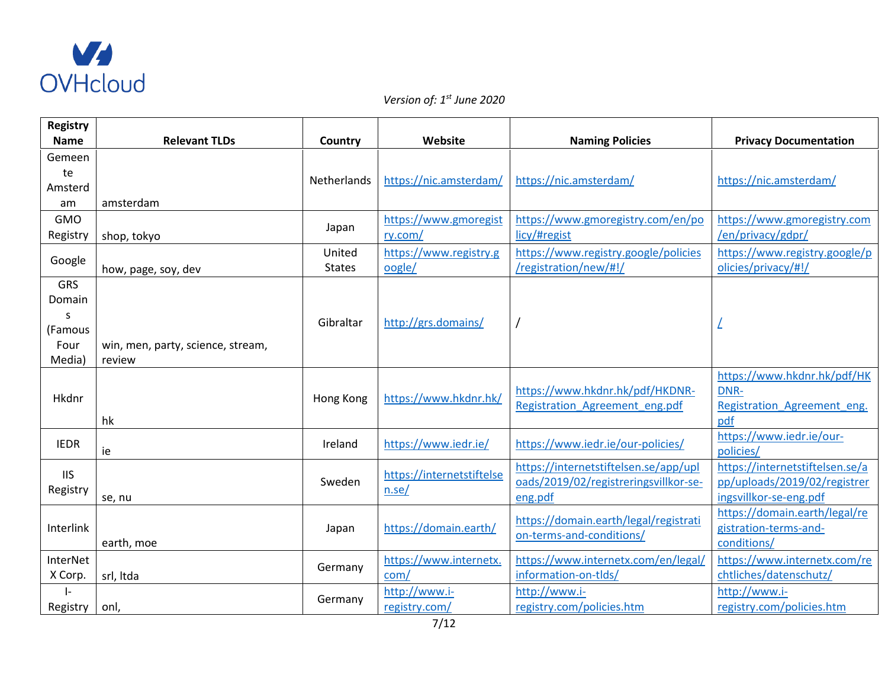

| <b>Registry</b>                                        |                                             |                         |                                    |                                                                                           |                                                                                           |
|--------------------------------------------------------|---------------------------------------------|-------------------------|------------------------------------|-------------------------------------------------------------------------------------------|-------------------------------------------------------------------------------------------|
| <b>Name</b>                                            | <b>Relevant TLDs</b>                        | Country                 | Website                            | <b>Naming Policies</b>                                                                    | <b>Privacy Documentation</b>                                                              |
| Gemeen<br>te<br>Amsterd<br>am                          | amsterdam                                   | Netherlands             | https://nic.amsterdam/             | https://nic.amsterdam/                                                                    | https://nic.amsterdam/                                                                    |
| <b>GMO</b><br>Registry                                 | shop, tokyo                                 | Japan                   | https://www.gmoregist<br>ry.com/   | https://www.gmoregistry.com/en/po<br>licy/#regist                                         | https://www.gmoregistry.com<br>/en/privacy/gdpr/                                          |
| Google                                                 | how, page, soy, dev                         | United<br><b>States</b> | https://www.registry.g<br>oogle/   | https://www.registry.google/policies<br>/registration/new/#!/                             | https://www.registry.google/p<br>olicies/privacy/#!/                                      |
| <b>GRS</b><br>Domain<br>S<br>(Famous<br>Four<br>Media) | win, men, party, science, stream,<br>review | Gibraltar               | http://grs.domains/                |                                                                                           |                                                                                           |
| Hkdnr                                                  | hk                                          | Hong Kong               | https://www.hkdnr.hk/              | https://www.hkdnr.hk/pdf/HKDNR-<br>Registration Agreement eng.pdf                         | https://www.hkdnr.hk/pdf/HK<br>DNR-<br>Registration Agreement eng.<br>pdf                 |
| <b>IEDR</b>                                            | ie                                          | Ireland                 | https://www.iedr.ie/               | https://www.iedr.ie/our-policies/                                                         | https://www.iedr.ie/our-<br>policies/                                                     |
| <b>IIS</b><br>Registry                                 | se, nu                                      | Sweden                  | https://internetstiftelse<br>n.se/ | https://internetstiftelsen.se/app/upl<br>oads/2019/02/registreringsvillkor-se-<br>eng.pdf | https://internetstiftelsen.se/a<br>pp/uploads/2019/02/registrer<br>ingsvillkor-se-eng.pdf |
| Interlink                                              | earth, moe                                  | Japan                   | https://domain.earth/              | https://domain.earth/legal/registrati<br>on-terms-and-conditions/                         | https://domain.earth/legal/re<br>gistration-terms-and-<br>conditions/                     |
| InterNet<br>X Corp.                                    | srl, Itda                                   | Germany                 | https://www.internetx.<br>com/     | https://www.internetx.com/en/legal/<br>information-on-tlds/                               | https://www.internetx.com/re<br>chtliches/datenschutz/                                    |
| $\mathsf{I}$<br>Registry                               | onl,                                        | Germany                 | http://www.i-<br>registry.com/     | http://www.i-<br>registry.com/policies.htm                                                | http://www.i-<br>registry.com/policies.htm                                                |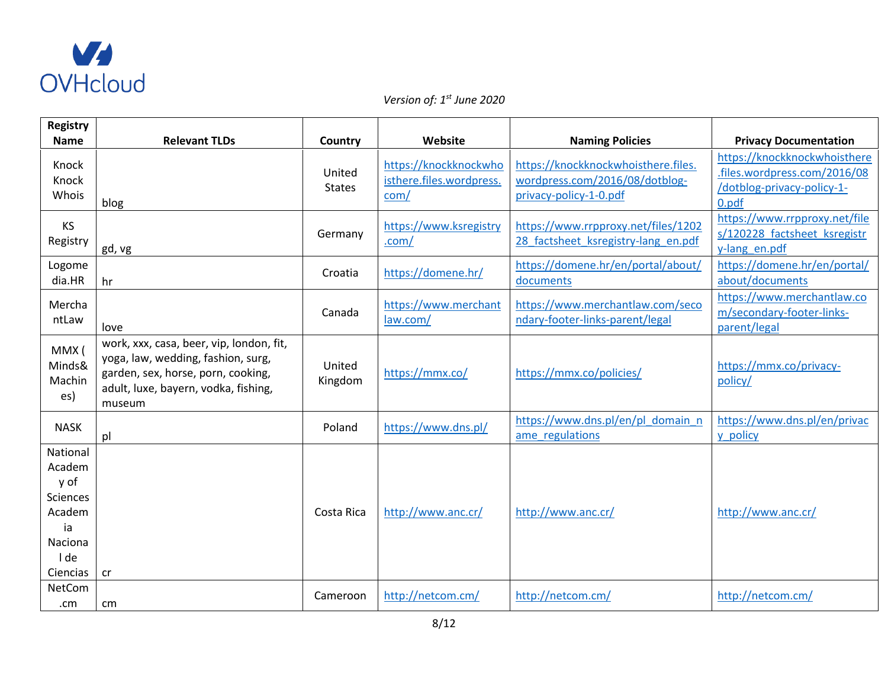

| <b>Registry</b>                                                                                     |                                                                                                                                                                        |                         |                                                           |                                                                                                 |                                                                                                     |
|-----------------------------------------------------------------------------------------------------|------------------------------------------------------------------------------------------------------------------------------------------------------------------------|-------------------------|-----------------------------------------------------------|-------------------------------------------------------------------------------------------------|-----------------------------------------------------------------------------------------------------|
| <b>Name</b>                                                                                         | <b>Relevant TLDs</b>                                                                                                                                                   | Country                 | Website                                                   | <b>Naming Policies</b>                                                                          | <b>Privacy Documentation</b>                                                                        |
| Knock<br>Knock<br>Whois                                                                             | blog                                                                                                                                                                   | United<br><b>States</b> | https://knockknockwho<br>isthere.files.wordpress.<br>com/ | https://knockknockwhoisthere.files.<br>wordpress.com/2016/08/dotblog-<br>privacy-policy-1-0.pdf | https://knockknockwhoisthere<br>.files.wordpress.com/2016/08<br>/dotblog-privacy-policy-1-<br>0.pdf |
| KS<br>Registry                                                                                      | gd, vg                                                                                                                                                                 | Germany                 | https://www.ksregistry<br>.com/                           | https://www.rrpproxy.net/files/1202<br>28 factsheet ksregistry-lang en.pdf                      | https://www.rrpproxy.net/file<br>s/120228 factsheet ksregistr<br>y-lang_en.pdf                      |
| Logome<br>dia.HR                                                                                    | hr                                                                                                                                                                     | Croatia                 | https://domene.hr/                                        | https://domene.hr/en/portal/about/<br>documents                                                 | https://domene.hr/en/portal/<br>about/documents                                                     |
| Mercha<br>ntLaw                                                                                     | love                                                                                                                                                                   | Canada                  | https://www.merchant<br>law.com/                          | https://www.merchantlaw.com/seco<br>ndary-footer-links-parent/legal                             | https://www.merchantlaw.co<br>m/secondary-footer-links-<br>parent/legal                             |
| MMX (<br>Minds&<br>Machin<br>es)                                                                    | work, xxx, casa, beer, vip, london, fit,<br>yoga, law, wedding, fashion, surg,<br>garden, sex, horse, porn, cooking,<br>adult, luxe, bayern, vodka, fishing,<br>museum | United<br>Kingdom       | https://mmx.co/                                           | https://mmx.co/policies/                                                                        | https://mmx.co/privacy-<br>policy/                                                                  |
| <b>NASK</b>                                                                                         | pl                                                                                                                                                                     | Poland                  | https://www.dns.pl/                                       | https://www.dns.pl/en/pl domain n<br>ame regulations                                            | https://www.dns.pl/en/privac<br>y policy                                                            |
| National<br>Academ<br>y of<br><b>Sciences</b><br>Academ<br>ia<br><b>Naciona</b><br>I de<br>Ciencias | <b>cr</b>                                                                                                                                                              | Costa Rica              | http://www.anc.cr/                                        | http://www.anc.cr/                                                                              | http://www.anc.cr/                                                                                  |
| NetCom<br>.cm                                                                                       | cm                                                                                                                                                                     | Cameroon                | http://netcom.cm/                                         | http://netcom.cm/                                                                               | http://netcom.cm/                                                                                   |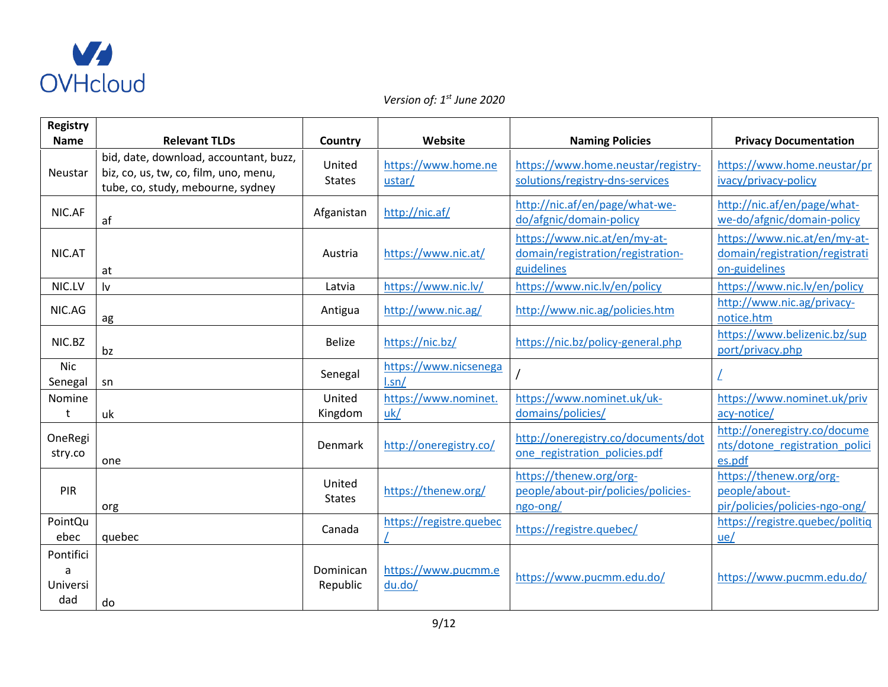

| <b>Registry</b>                   |                                                                                                                      |                         |                                |                                                                                 |                                                                                 |
|-----------------------------------|----------------------------------------------------------------------------------------------------------------------|-------------------------|--------------------------------|---------------------------------------------------------------------------------|---------------------------------------------------------------------------------|
| <b>Name</b>                       | <b>Relevant TLDs</b>                                                                                                 | Country                 | Website                        | <b>Naming Policies</b>                                                          | <b>Privacy Documentation</b>                                                    |
| Neustar                           | bid, date, download, accountant, buzz,<br>biz, co, us, tw, co, film, uno, menu,<br>tube, co, study, mebourne, sydney | United<br><b>States</b> | https://www.home.ne<br>ustar/  | https://www.home.neustar/registry-<br>solutions/registry-dns-services           | https://www.home.neustar/pr<br>ivacy/privacy-policy                             |
| NIC.AF                            | af                                                                                                                   | Afganistan              | http://nic.af/                 | http://nic.af/en/page/what-we-<br>do/afgnic/domain-policy                       | http://nic.af/en/page/what-<br>we-do/afgnic/domain-policy                       |
| NIC.AT                            | at                                                                                                                   | Austria                 | https://www.nic.at/            | https://www.nic.at/en/my-at-<br>domain/registration/registration-<br>guidelines | https://www.nic.at/en/my-at-<br>domain/registration/registrati<br>on-guidelines |
| NIC.LV                            | l٧                                                                                                                   | Latvia                  | https://www.nic.lv/            | https://www.nic.lv/en/policy                                                    | https://www.nic.lv/en/policy                                                    |
| NIC.AG                            | ag                                                                                                                   | Antigua                 | http://www.nic.ag/             | http://www.nic.ag/policies.htm                                                  | http://www.nic.ag/privacy-<br>notice.htm                                        |
| NIC.BZ                            | bz                                                                                                                   | <b>Belize</b>           | https://nic.bz/                | https://nic.bz/policy-general.php                                               | https://www.belizenic.bz/sup<br>port/privacy.php                                |
| <b>Nic</b><br>Senegal             | sn                                                                                                                   | Senegal                 | https://www.nicsenega<br>l.sn/ |                                                                                 |                                                                                 |
| Nomine<br>t                       | uk                                                                                                                   | United<br>Kingdom       | https://www.nominet.<br>uk/    | https://www.nominet.uk/uk-<br>domains/policies/                                 | https://www.nominet.uk/priv<br>acy-notice/                                      |
| OneRegi<br>stry.co                | one                                                                                                                  | Denmark                 | http://oneregistry.co/         | http://oneregistry.co/documents/dot<br>one registration policies.pdf            | http://oneregistry.co/docume<br>nts/dotone_registration_polici<br>es.pdf        |
| PIR                               | org                                                                                                                  | United<br><b>States</b> | https://thenew.org/            | https://thenew.org/org-<br>people/about-pir/policies/policies-<br>ngo-ong/      | https://thenew.org/org-<br>people/about-<br>pir/policies/policies-ngo-ong/      |
| PointQu<br>ebec                   | quebec                                                                                                               | Canada                  | https://registre.quebec        | https://registre.quebec/                                                        | https://registre.quebec/politiq<br>ue/                                          |
| Pontifici<br>a<br>Universi<br>dad | do                                                                                                                   | Dominican<br>Republic   | https://www.pucmm.e<br>du.do/  | https://www.pucmm.edu.do/                                                       | https://www.pucmm.edu.do/                                                       |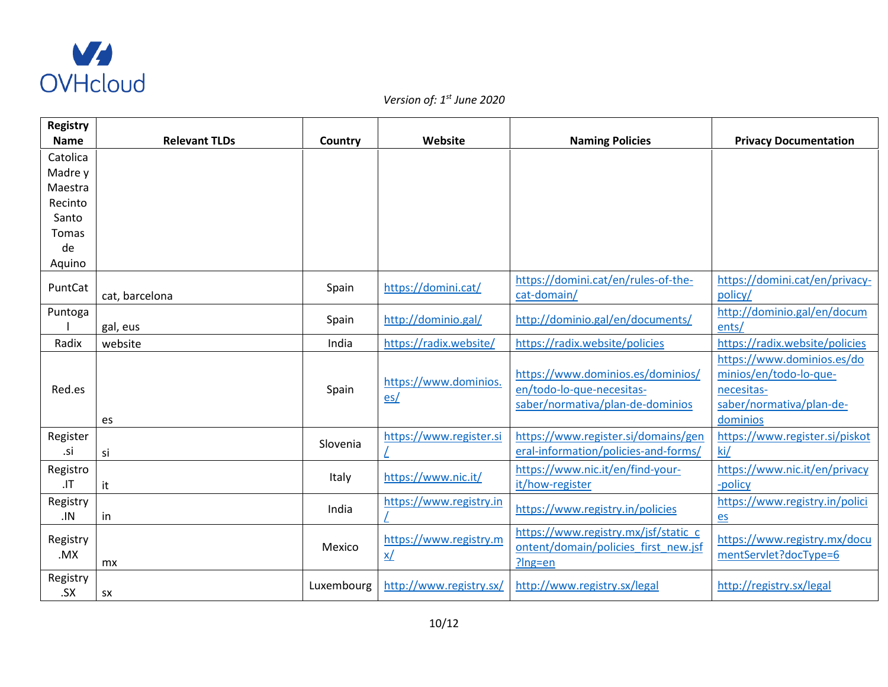

| <b>Registry</b> |                      |            |                         |                                      |                                |
|-----------------|----------------------|------------|-------------------------|--------------------------------------|--------------------------------|
| <b>Name</b>     | <b>Relevant TLDs</b> | Country    | Website                 | <b>Naming Policies</b>               | <b>Privacy Documentation</b>   |
| Catolica        |                      |            |                         |                                      |                                |
| Madre y         |                      |            |                         |                                      |                                |
| Maestra         |                      |            |                         |                                      |                                |
| Recinto         |                      |            |                         |                                      |                                |
| Santo           |                      |            |                         |                                      |                                |
| Tomas           |                      |            |                         |                                      |                                |
| de              |                      |            |                         |                                      |                                |
| Aquino          |                      |            |                         |                                      |                                |
| PuntCat         |                      | Spain      | https://domini.cat/     | https://domini.cat/en/rules-of-the-  | https://domini.cat/en/privacy- |
|                 | cat, barcelona       |            |                         | cat-domain/                          | policy/                        |
| Puntoga         |                      | Spain      | http://dominio.gal/     | http://dominio.gal/en/documents/     | http://dominio.gal/en/docum    |
|                 | gal, eus             |            |                         |                                      | ents/                          |
| Radix           | website              | India      | https://radix.website/  | https://radix.website/policies       | https://radix.website/policies |
|                 |                      |            |                         |                                      | https://www.dominios.es/do     |
|                 |                      |            | https://www.dominios.   | https://www.dominios.es/dominios/    | minios/en/todo-lo-que-         |
| Red.es          |                      | Spain      | es/                     | en/todo-lo-que-necesitas-            | necesitas-                     |
|                 |                      |            |                         | saber/normativa/plan-de-dominios     | saber/normativa/plan-de-       |
|                 | es                   |            |                         |                                      | dominios                       |
| Register        |                      | Slovenia   | https://www.register.si | https://www.register.si/domains/gen  | https://www.register.si/piskot |
| .si             | si                   |            |                         | eral-information/policies-and-forms/ | ki/                            |
| Registro        |                      | Italy      | https://www.nic.it/     | https://www.nic.it/en/find-your-     | https://www.nic.it/en/privacy  |
| J <sub>T</sub>  | it                   |            |                         | it/how-register                      | -policy                        |
| Registry        |                      | India      | https://www.registry.in | https://www.registry.in/policies     | https://www.registry.in/polici |
| .IN             | in                   |            |                         |                                      | $\mathbf{e}\mathbf{s}$         |
| Registry        |                      |            | https://www.registry.m  | https://www.registry.mx/jsf/static_c | https://www.registry.mx/docu   |
| .MX             |                      | Mexico     | <u>x/</u>               | ontent/domain/policies_first_new.jsf | mentServlet?docType=6          |
|                 | mx                   |            |                         | $?$ lng=en                           |                                |
| Registry        |                      | Luxembourg | http://www.registry.sx/ | http://www.registry.sx/legal         | http://registry.sx/legal       |
| S X             | <b>SX</b>            |            |                         |                                      |                                |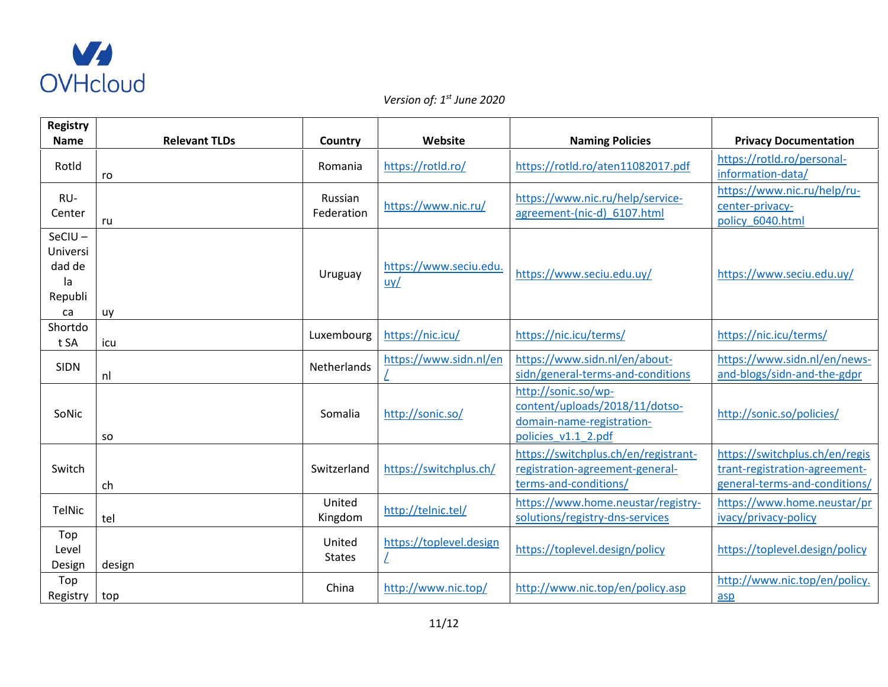

| <b>Registry</b>                                        |                      |                         |                               |                                                                                                           |                                                                                                  |
|--------------------------------------------------------|----------------------|-------------------------|-------------------------------|-----------------------------------------------------------------------------------------------------------|--------------------------------------------------------------------------------------------------|
| <b>Name</b>                                            | <b>Relevant TLDs</b> | Country                 | Website                       | <b>Naming Policies</b>                                                                                    | <b>Privacy Documentation</b>                                                                     |
| Rotld                                                  | ro                   | Romania                 | https://rotld.ro/             | https://rotld.ro/aten11082017.pdf                                                                         | https://rotld.ro/personal-<br>information-data/                                                  |
| RU-<br>Center                                          | ru                   | Russian<br>Federation   | https://www.nic.ru/           | https://www.nic.ru/help/service-<br>agreement-(nic-d) 6107.html                                           | https://www.nic.ru/help/ru-<br>center-privacy-<br>policy 6040.html                               |
| $SeClU -$<br>Universi<br>dad de<br>la<br>Republi<br>ca | uy                   | Uruguay                 | https://www.seciu.edu.<br>uy/ | https://www.seciu.edu.uv/                                                                                 | https://www.seciu.edu.uv/                                                                        |
| Shortdo<br>t SA                                        | icu                  | Luxembourg              | https://nic.icu/              | https://nic.icu/terms/                                                                                    | https://nic.icu/terms/                                                                           |
| <b>SIDN</b>                                            | nl                   | Netherlands             | https://www.sidn.nl/en        | https://www.sidn.nl/en/about-<br>sidn/general-terms-and-conditions                                        | https://www.sidn.nl/en/news-<br>and-blogs/sidn-and-the-gdpr                                      |
| SoNic                                                  | <b>SO</b>            | Somalia                 | http://sonic.so/              | http://sonic.so/wp-<br>content/uploads/2018/11/dotso-<br>domain-name-registration-<br>policies v1.1 2.pdf | http://sonic.so/policies/                                                                        |
| Switch                                                 | ch                   | Switzerland             | https://switchplus.ch/        | https://switchplus.ch/en/registrant-<br>registration-agreement-general-<br>terms-and-conditions/          | https://switchplus.ch/en/regis<br>trant-registration-agreement-<br>general-terms-and-conditions/ |
| TelNic                                                 | tel                  | United<br>Kingdom       | http://telnic.tel/            | https://www.home.neustar/registry-<br>solutions/registry-dns-services                                     | https://www.home.neustar/pr<br>ivacy/privacy-policy                                              |
| Top<br>Level<br>Design                                 | design               | United<br><b>States</b> | https://toplevel.design       | https://toplevel.design/policy                                                                            | https://toplevel.design/policy                                                                   |
| Top<br>Registry                                        | top                  | China                   | http://www.nic.top/           | http://www.nic.top/en/policy.asp                                                                          | http://www.nic.top/en/policy.<br>asp                                                             |